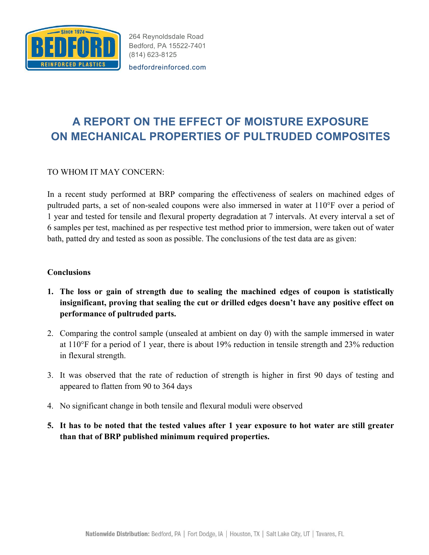

264 Reynoldsdale Road Bedford, PA 15522-7401 (814) 623-8125

bedfordreinforced.com

## **A REPORT ON THE EFFECT OF MOISTURE EXPOSURE ON MECHANICAL PROPERTIES OF PULTRUDED COMPOSITES**

## TO WHOM IT MAY CONCERN:

In a recent study performed at BRP comparing the effectiveness of sealers on machined edges of pultruded parts, a set of non-sealed coupons were also immersed in water at 110°F over a period of 1 year and tested for tensile and flexural property degradation at 7 intervals. At every interval a set of 6 samples per test, machined as per respective test method prior to immersion, were taken out of water bath, patted dry and tested as soon as possible. The conclusions of the test data are as given:

## **Conclusions**

- **1. The loss or gain of strength due to sealing the machined edges of coupon is statistically insignificant, proving that sealing the cut or drilled edges doesn't have any positive effect on performance of pultruded parts.**
- 2. Comparing the control sample (unsealed at ambient on day 0) with the sample immersed in water at 110°F for a period of 1 year, there is about 19% reduction in tensile strength and 23% reduction in flexural strength.
- 3. It was observed that the rate of reduction of strength is higher in first 90 days of testing and appeared to flatten from 90 to 364 days
- 4. No significant change in both tensile and flexural moduli were observed
- **5. It has to be noted that the tested values after 1 year exposure to hot water are still greater than that of BRP published minimum required properties.**